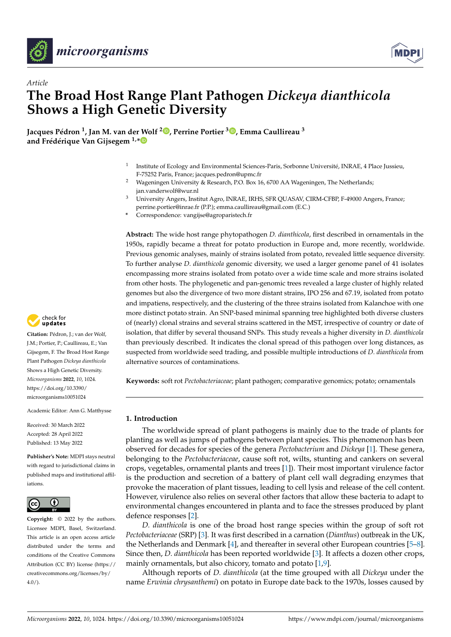



# *Article* **The Broad Host Range Plant Pathogen** *Dickeya dianthicola* **Shows a High Genetic Diversity**

**Jacques Pédron <sup>1</sup> , Jan M. van der Wolf <sup>2</sup> [,](https://orcid.org/0000-0002-9196-5419) Perrine Portier <sup>3</sup> [,](https://orcid.org/0000-0003-1033-6731) Emma Caullireau <sup>3</sup> and Frédérique Van Gijsegem 1,[\\*](https://orcid.org/0000-0003-0404-4353)**

- 1 Institute of Ecology and Environmental Sciences-Paris, Sorbonne Université, INRAE, 4 Place Jussieu, F-75252 Paris, France; jacques.pedron@upmc.fr
- <sup>2</sup> Wageningen University & Research, P.O. Box 16, 6700 AA Wageningen, The Netherlands; jan.vanderwolf@wur.nl
- <sup>3</sup> University Angers, Institut Agro, INRAE, IRHS, SFR QUASAV, CIRM-CFBP, F-49000 Angers, France; perrine.portier@inrae.fr (P.P.); emma.caullireau@gmail.com (E.C.)
- **\*** Correspondence: vangijse@agroparistech.fr

**Abstract:** The wide host range phytopathogen *D. dianthicola*, first described in ornamentals in the 1950s, rapidly became a threat for potato production in Europe and, more recently, worldwide. Previous genomic analyses, mainly of strains isolated from potato, revealed little sequence diversity. To further analyse *D. dianthicola* genomic diversity, we used a larger genome panel of 41 isolates encompassing more strains isolated from potato over a wide time scale and more strains isolated from other hosts. The phylogenetic and pan-genomic trees revealed a large cluster of highly related genomes but also the divergence of two more distant strains, IPO 256 and 67.19, isolated from potato and impatiens, respectively, and the clustering of the three strains isolated from Kalanchoe with one more distinct potato strain. An SNP-based minimal spanning tree highlighted both diverse clusters of (nearly) clonal strains and several strains scattered in the MST, irrespective of country or date of isolation, that differ by several thousand SNPs. This study reveals a higher diversity in *D. dianthicola* than previously described. It indicates the clonal spread of this pathogen over long distances, as suspected from worldwide seed trading, and possible multiple introductions of *D. dianthicola* from alternative sources of contaminations.

**Keywords:** soft rot *Pectobacteriaceae*; plant pathogen; comparative genomics; potato; ornamentals

# **1. Introduction**

The worldwide spread of plant pathogens is mainly due to the trade of plants for planting as well as jumps of pathogens between plant species. This phenomenon has been observed for decades for species of the genera *Pectobacterium* and *Dickeya* [\[1\]](#page-12-0). These genera, belonging to the *Pectobacteriaceae*, cause soft rot, wilts, stunting and cankers on several crops, vegetables, ornamental plants and trees [\[1\]](#page-12-0)). Their most important virulence factor is the production and secretion of a battery of plant cell wall degrading enzymes that provoke the maceration of plant tissues, leading to cell lysis and release of the cell content. However, virulence also relies on several other factors that allow these bacteria to adapt to environmental changes encountered in planta and to face the stresses produced by plant defence responses [\[2\]](#page-12-1).

*D. dianthicola* is one of the broad host range species within the group of soft rot *Pectobacteriaceae* (SRP) [\[3\]](#page-12-2). It was first described in a carnation (*Dianthus*) outbreak in the UK, the Netherlands and Denmark [\[4\]](#page-12-3), and thereafter in several other European countries [\[5](#page-12-4)[–8\]](#page-12-5). Since then, *D. dianthicola* has been reported worldwide [\[3\]](#page-12-2). It affects a dozen other crops, mainly ornamentals, but also chicory, tomato and potato [\[1](#page-12-0)[,9\]](#page-12-6).

Although reports of *D. dianthicola* (at the time grouped with all *Dickeya* under the name *Erwinia chrysanthemi*) on potato in Europe date back to the 1970s, losses caused by



**Citation:** Pédron, J.; van der Wolf, J.M.; Portier, P.; Caullireau, E.; Van Gijsegem, F. The Broad Host Range Plant Pathogen *Dickeya dianthicola* Shows a High Genetic Diversity. *Microorganisms* **2022**, *10*, 1024. [https://doi.org/10.3390/](https://doi.org/10.3390/microorganisms10051024) [microorganisms10051024](https://doi.org/10.3390/microorganisms10051024)

Academic Editor: Ann G. Matthysse

Received: 30 March 2022 Accepted: 28 April 2022 Published: 13 May 2022

**Publisher's Note:** MDPI stays neutral with regard to jurisdictional claims in published maps and institutional affiliations.



**Copyright:** © 2022 by the authors. Licensee MDPI, Basel, Switzerland. This article is an open access article distributed under the terms and conditions of the Creative Commons Attribution (CC BY) license [\(https://](https://creativecommons.org/licenses/by/4.0/) [creativecommons.org/licenses/by/](https://creativecommons.org/licenses/by/4.0/)  $4.0/$ ).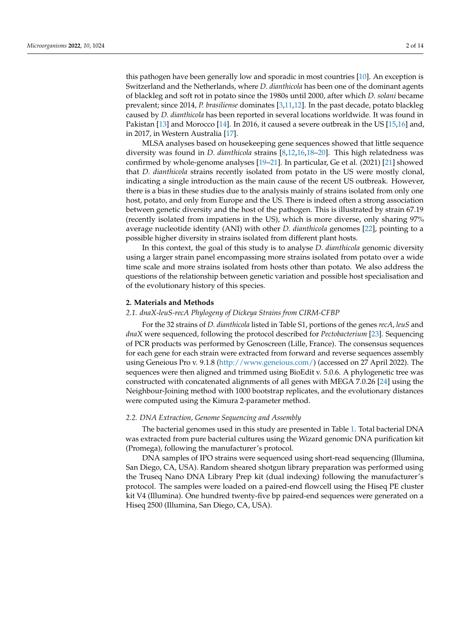this pathogen have been generally low and sporadic in most countries [\[10\]](#page-12-7). An exception is Switzerland and the Netherlands, where *D. dianthicola* has been one of the dominant agents of blackleg and soft rot in potato since the 1980s until 2000, after which *D. solani* became prevalent; since 2014, *P. brasiliense* dominates [\[3](#page-12-2)[,11](#page-12-8)[,12\]](#page-12-9). In the past decade, potato blackleg caused by *D. dianthicola* has been reported in several locations worldwide. It was found in Pakistan [\[13\]](#page-12-10) and Morocco [\[14\]](#page-12-11). In 2016, it caused a severe outbreak in the US [\[15](#page-12-12)[,16\]](#page-12-13) and, in 2017, in Western Australia [\[17\]](#page-12-14).

MLSA analyses based on housekeeping gene sequences showed that little sequence diversity was found in *D. dianthicola* strains [\[8](#page-12-5)[,12](#page-12-9)[,16](#page-12-13)[,18–](#page-12-15)[20\]](#page-12-16). This high relatedness was confirmed by whole-genome analyses [\[19–](#page-12-17)[21\]](#page-12-18). In particular, Ge et al. (2021) [\[21\]](#page-12-18) showed that *D. dianthicola* strains recently isolated from potato in the US were mostly clonal, indicating a single introduction as the main cause of the recent US outbreak. However, there is a bias in these studies due to the analysis mainly of strains isolated from only one host, potato, and only from Europe and the US. There is indeed often a strong association between genetic diversity and the host of the pathogen. This is illustrated by strain 67.19 (recently isolated from impatiens in the US), which is more diverse, only sharing 97% average nucleotide identity (ANI) with other *D. dianthicola* genomes [\[22\]](#page-13-0), pointing to a possible higher diversity in strains isolated from different plant hosts.

In this context, the goal of this study is to analyse *D. dianthicola* genomic diversity using a larger strain panel encompassing more strains isolated from potato over a wide time scale and more strains isolated from hosts other than potato. We also address the questions of the relationship between genetic variation and possible host specialisation and of the evolutionary history of this species.

#### <span id="page-1-0"></span>**2. Materials and Methods**

# *2.1. dnaX-leuS-recA Phylogeny of Dickeya Strains from CIRM-CFBP*

For the 32 strains of *D. dianthicola* listed in Table S1, portions of the genes *recA*, *leuS* and *dnaX* were sequenced, following the protocol described for *Pectobacterium* [\[23\]](#page-13-1). Sequencing of PCR products was performed by Genoscreen (Lille, France). The consensus sequences for each gene for each strain were extracted from forward and reverse sequences assembly using Geneious Pro v. 9.1.8 [\(http://www.geneious.com/\)](http://www.geneious.com/) (accessed on 27 April 2022). The sequences were then aligned and trimmed using BioEdit v. 5.0.6. A phylogenetic tree was constructed with concatenated alignments of all genes with MEGA 7.0.26 [\[24\]](#page-13-2) using the Neighbour-Joining method with 1000 bootstrap replicates, and the evolutionary distances were computed using the Kimura 2-parameter method.

### *2.2. DNA Extraction, Genome Sequencing and Assembly*

The bacterial genomes used in this study are presented in Table [1.](#page-2-0) Total bacterial DNA was extracted from pure bacterial cultures using the Wizard genomic DNA purification kit (Promega), following the manufacturer's protocol.

DNA samples of IPO strains were sequenced using short-read sequencing (Illumina, San Diego, CA, USA). Random sheared shotgun library preparation was performed using the Truseq Nano DNA Library Prep kit (dual indexing) following the manufacturer's protocol. The samples were loaded on a paired-end flowcell using the Hiseq PE cluster kit V4 (Illumina). One hundred twenty-five bp paired-end sequences were generated on a Hiseq 2500 (Illumina, San Diego, CA, USA).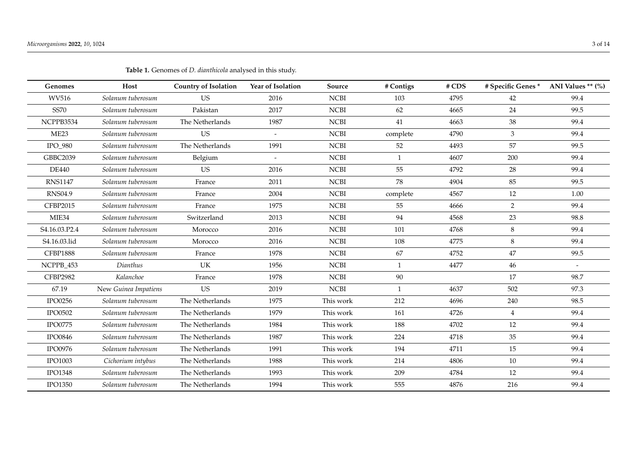<span id="page-2-0"></span>

| Genomes          | Host                 | <b>Country of Isolation</b> | Year of Isolation        | Source      | # Contigs    | #CDS | # Specific Genes * | ANI Values ** (%)        |
|------------------|----------------------|-----------------------------|--------------------------|-------------|--------------|------|--------------------|--------------------------|
| WV516            | Solanum tuberosum    | <b>US</b>                   | 2016                     | <b>NCBI</b> | 103          | 4795 | 42                 | 99.4                     |
| <b>SS70</b>      | Solanum tuberosum    | Pakistan                    | 2017                     | <b>NCBI</b> | 62           | 4665 | 24                 | 99.5                     |
| NCPPB3534        | Solanum tuberosum    | The Netherlands             | 1987                     | <b>NCBI</b> | 41           | 4663 | 38                 | 99.4                     |
| ME <sub>23</sub> | Solanum tuberosum    | <b>US</b>                   | $\blacksquare$           | <b>NCBI</b> | complete     | 4790 | 3                  | 99.4                     |
| IPO_980          | Solanum tuberosum    | The Netherlands             | 1991                     | <b>NCBI</b> | 52           | 4493 | 57                 | 99.5                     |
| GBBC2039         | Solanum tuberosum    | Belgium                     | $\overline{\phantom{a}}$ | <b>NCBI</b> | $\mathbf{1}$ | 4607 | 200                | 99.4                     |
| <b>DE440</b>     | Solanum tuberosum    | <b>US</b>                   | 2016                     | NCBI        | 55           | 4792 | 28                 | 99.4                     |
| <b>RNS1147</b>   | Solanum tuberosum    | France                      | 2011                     | <b>NCBI</b> | 78           | 4904 | 85                 | 99.5                     |
| <b>RNS04.9</b>   | Solanum tuberosum    | France                      | 2004                     | <b>NCBI</b> | complete     | 4567 | 12                 | 1.00                     |
| <b>CFBP2015</b>  | Solanum tuberosum    | France                      | 1975                     | <b>NCBI</b> | 55           | 4666 | $\overline{2}$     | 99.4                     |
| MIE34            | Solanum tuberosum    | Switzerland                 | 2013                     | <b>NCBI</b> | 94           | 4568 | 23                 | 98.8                     |
| S4.16.03.P2.4    | Solanum tuberosum    | Morocco                     | 2016                     | NCBI        | 101          | 4768 | 8                  | 99.4                     |
| S4.16.03.lid     | Solanum tuberosum    | Morocco                     | 2016                     | <b>NCBI</b> | 108          | 4775 | 8                  | 99.4                     |
| <b>CFBP1888</b>  | Solanum tuberosum    | France                      | 1978                     | <b>NCBI</b> | 67           | 4752 | 47                 | 99.5                     |
| NCPPB_453        | Dianthus             | UK                          | 1956                     | <b>NCBI</b> | 1            | 4477 | 46                 | $\overline{\phantom{a}}$ |
| <b>CFBP2982</b>  | Kalanchoe            | France                      | 1978                     | <b>NCBI</b> | 90           |      | 17                 | 98.7                     |
| 67.19            | New Guinea Impatiens | <b>US</b>                   | 2019                     | <b>NCBI</b> | 1            | 4637 | 502                | 97.3                     |
| <b>IPO0256</b>   | Solanum tuberosum    | The Netherlands             | 1975                     | This work   | 212          | 4696 | 240                | 98.5                     |
| IPO0502          | Solanum tuberosum    | The Netherlands             | 1979                     | This work   | 161          | 4726 | $\overline{4}$     | 99.4                     |
| IPO0775          | Solanum tuberosum    | The Netherlands             | 1984                     | This work   | 188          | 4702 | 12                 | 99.4                     |
| <b>IPO0846</b>   | Solanum tuberosum    | The Netherlands             | 1987                     | This work   | 224          | 4718 | 35                 | 99.4                     |
| <b>IPO0976</b>   | Solanum tuberosum    | The Netherlands             | 1991                     | This work   | 194          | 4711 | 15                 | 99.4                     |
| <b>IPO1003</b>   | Cichorium intybus    | The Netherlands             | 1988                     | This work   | 214          | 4806 | 10                 | 99.4                     |
| <b>IPO1348</b>   | Solanum tuberosum    | The Netherlands             | 1993                     | This work   | 209          | 4784 | 12                 | 99.4                     |
| <b>IPO1350</b>   | Solanum tuberosum    | The Netherlands             | 1994                     | This work   | 555          | 4876 | 216                | 99.4                     |

| Table 1. Genomes of <i>D. dianthicola</i> analysed in this study. |  |  |
|-------------------------------------------------------------------|--|--|
|-------------------------------------------------------------------|--|--|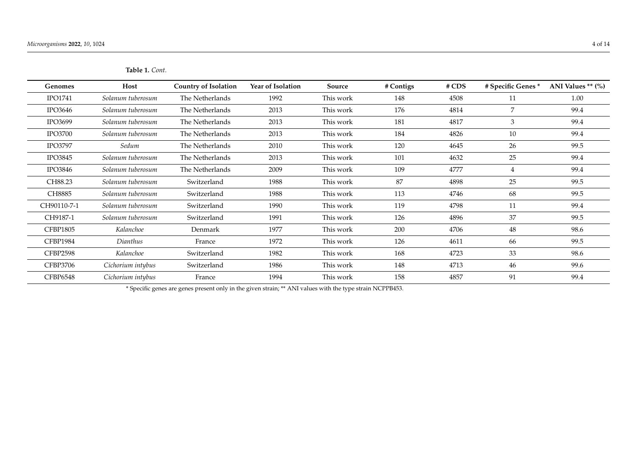| <b>Table 1.</b> Cont. |
|-----------------------|
|                       |

| <b>Genomes</b>  | Host              | <b>Country of Isolation</b> | <b>Year of Isolation</b> | Source    | # Contigs | #CDS | # Specific Genes * | ANI Values $**$ (%) |
|-----------------|-------------------|-----------------------------|--------------------------|-----------|-----------|------|--------------------|---------------------|
| <b>IPO1741</b>  | Solanum tuberosum | The Netherlands             | 1992                     | This work | 148       | 4508 | 11                 | 1.00                |
| <b>IPO3646</b>  | Solanum tuberosum | The Netherlands             | 2013                     | This work | 176       | 4814 | $\overline{7}$     | 99.4                |
| <b>IPO3699</b>  | Solanum tuberosum | The Netherlands             | 2013                     | This work | 181       | 4817 | 3                  | 99.4                |
| <b>IPO3700</b>  | Solanum tuberosum | The Netherlands             | 2013                     | This work | 184       | 4826 | 10                 | 99.4                |
| <b>IPO3797</b>  | Sedum             | The Netherlands             | 2010                     | This work | 120       | 4645 | 26                 | 99.5                |
| <b>IPO3845</b>  | Solanum tuberosum | The Netherlands             | 2013                     | This work | 101       | 4632 | 25                 | 99.4                |
| <b>IPO3846</b>  | Solanum tuberosum | The Netherlands             | 2009                     | This work | 109       | 4777 | 4                  | 99.4                |
| CH88.23         | Solanum tuberosum | Switzerland                 | 1988                     | This work | 87        | 4898 | 25                 | 99.5                |
| CH8885          | Solanum tuberosum | Switzerland                 | 1988                     | This work | 113       | 4746 | 68                 | 99.5                |
| CH90110-7-1     | Solanum tuberosum | Switzerland                 | 1990                     | This work | 119       | 4798 | 11                 | 99.4                |
| CH9187-1        | Solanum tuberosum | Switzerland                 | 1991                     | This work | 126       | 4896 | 37                 | 99.5                |
| <b>CFBP1805</b> | Kalanchoe         | Denmark                     | 1977                     | This work | 200       | 4706 | 48                 | 98.6                |
| CFBP1984        | Dianthus          | France                      | 1972                     | This work | 126       | 4611 | -66                | 99.5                |
| <b>CFBP2598</b> | Kalanchoe         | Switzerland                 | 1982                     | This work | 168       | 4723 | 33                 | 98.6                |
| <b>CFBP3706</b> | Cichorium intybus | Switzerland                 | 1986                     | This work | 148       | 4713 | 46                 | 99.6                |
| CFBP6548        | Cichorium intybus | France                      | 1994                     | This work | 158       | 4857 | 91                 | 99.4                |

\* Specific genes are genes present only in the given strain; \*\* ANI values with the type strain NCPPB453.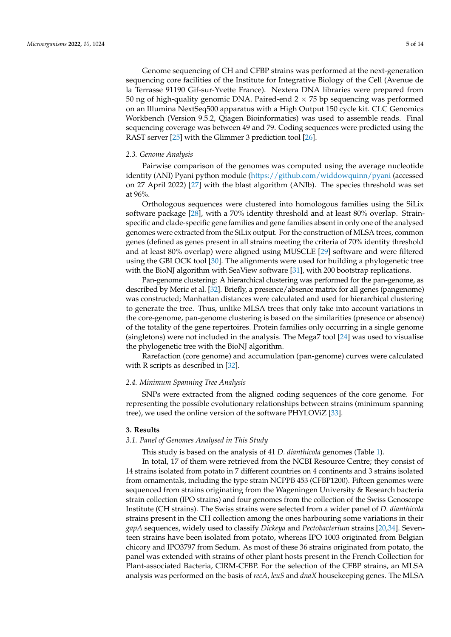Genome sequencing of CH and CFBP strains was performed at the next-generation sequencing core facilities of the Institute for Integrative Biology of the Cell (Avenue de la Terrasse 91190 Gif-sur-Yvette France). Nextera DNA libraries were prepared from 50 ng of high-quality genomic DNA. Paired-end  $2 \times 75$  bp sequencing was performed on an Illumina NextSeq500 apparatus with a High Output 150 cycle kit. CLC Genomics Workbench (Version 9.5.2, Qiagen Bioinformatics) was used to assemble reads. Final sequencing coverage was between 49 and 79. Coding sequences were predicted using the RAST server [\[25\]](#page-13-3) with the Glimmer 3 prediction tool [\[26\]](#page-13-4).

#### *2.3. Genome Analysis*

Pairwise comparison of the genomes was computed using the average nucleotide identity (ANI) Pyani python module [\(https://github.com/widdowquinn/pyani](https://github.com/widdowquinn/pyani) (accessed on 27 April 2022) [\[27\]](#page-13-5) with the blast algorithm (ANIb). The species threshold was set at 96%.

Orthologous sequences were clustered into homologous families using the SiLix software package [\[28\]](#page-13-6), with a 70% identity threshold and at least 80% overlap. Strainspecific and clade-specific gene families and gene families absent in only one of the analysed genomes were extracted from the SiLix output. For the construction of MLSA trees, common genes (defined as genes present in all strains meeting the criteria of 70% identity threshold and at least 80% overlap) were aligned using MUSCLE [\[29\]](#page-13-7) software and were filtered using the GBLOCK tool [\[30\]](#page-13-8). The alignments were used for building a phylogenetic tree with the BioNJ algorithm with SeaView software [\[31\]](#page-13-9), with 200 bootstrap replications.

Pan-genome clustering: A hierarchical clustering was performed for the pan-genome, as described by Meric et al. [\[32\]](#page-13-10). Briefly, a presence/absence matrix for all genes (pangenome) was constructed; Manhattan distances were calculated and used for hierarchical clustering to generate the tree. Thus, unlike MLSA trees that only take into account variations in the core-genome, pan-genome clustering is based on the similarities (presence or absence) of the totality of the gene repertoires. Protein families only occurring in a single genome (singletons) were not included in the analysis. The Mega7 tool [\[24\]](#page-13-2) was used to visualise the phylogenetic tree with the BioNJ algorithm.

Rarefaction (core genome) and accumulation (pan-genome) curves were calculated with R scripts as described in [\[32\]](#page-13-10).

#### *2.4. Minimum Spanning Tree Analysis*

SNPs were extracted from the aligned coding sequences of the core genome. For representing the possible evolutionary relationships between strains (minimum spanning tree), we used the online version of the software PHYLOViZ [\[33\]](#page-13-11).

#### **3. Results**

#### *3.1. Panel of Genomes Analysed in This Study*

This study is based on the analysis of 41 *D. dianthicola* genomes (Table [1\)](#page-2-0).

In total, 17 of them were retrieved from the NCBI Resource Centre; they consist of 14 strains isolated from potato in 7 different countries on 4 continents and 3 strains isolated from ornamentals, including the type strain NCPPB 453 (CFBP1200). Fifteen genomes were sequenced from strains originating from the Wageningen University & Research bacteria strain collection (IPO strains) and four genomes from the collection of the Swiss Genoscope Institute (CH strains). The Swiss strains were selected from a wider panel of *D. dianthicola* strains present in the CH collection among the ones harbouring some variations in their *gapA* sequences, widely used to classify *Dickeya* and *Pectobacterium* strains [\[20,](#page-12-16)[34\]](#page-13-12). Seventeen strains have been isolated from potato, whereas IPO 1003 originated from Belgian chicory and IPO3797 from Sedum. As most of these 36 strains originated from potato, the panel was extended with strains of other plant hosts present in the French Collection for Plant-associated Bacteria, CIRM-CFBP. For the selection of the CFBP strains, an MLSA analysis was performed on the basis of *recA*, *leuS* and *dnaX* housekeeping genes. The MLSA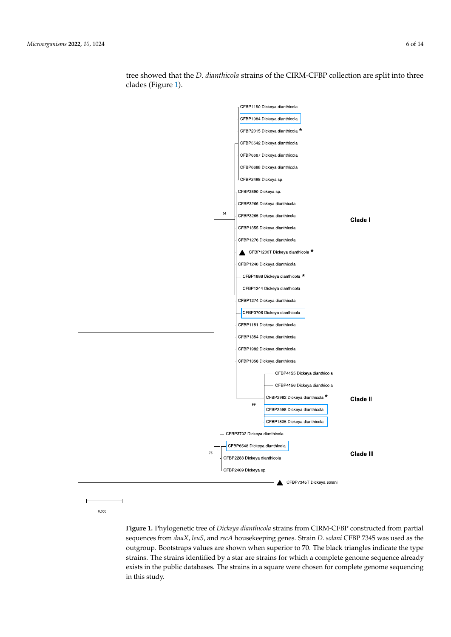<span id="page-5-0"></span>

tree showed that the *D. dianthicola* strains of the CIRM-CFBP collection are split into three clades (Figure [1\)](#page-5-0).

0.005

Figure 1. Phylogenetic tree of Dickeya dianthicola strains from CIRM-CFBP constructed from partial sequences from dnaX, leuS, and recA housekeeping genes. Strain D. solani CFBP 7345 was used as the outgroup. Bootstraps values are shown when superior to 70. The black triangles indicate the type strains. The strains identified by a star are strains for which a complete genome sequence already exists in the public databases. The strains in a square were chosen for complete genome sequencing in this study.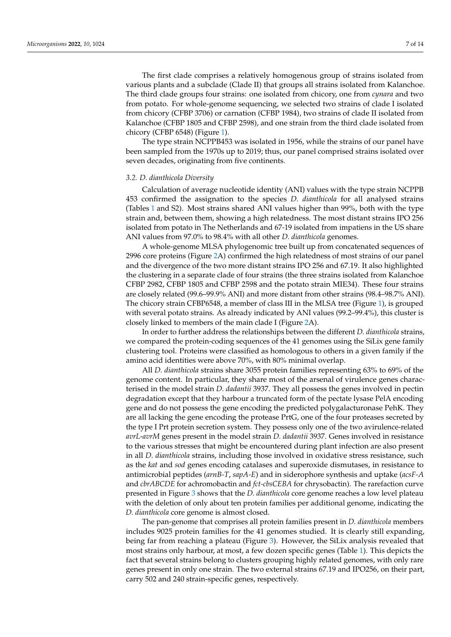The first clade comprises a relatively homogenous group of strains isolated from various plants and a subclade (Clade II) that groups all strains isolated from Kalanchoe. The third clade groups four strains: one isolated from chicory, one from *cynara* and two from potato. For whole-genome sequencing, we selected two strains of clade I isolated from chicory (CFBP 3706) or carnation (CFBP 1984), two strains of clade II isolated from Kalanchoe (CFBP 1805 and CFBP 2598), and one strain from the third clade isolated from chicory (CFBP 6548) (Figure [1\)](#page-5-0).

The type strain NCPPB453 was isolated in 1956, while the strains of our panel have been sampled from the 1970s up to 2019; thus, our panel comprised strains isolated over seven decades, originating from five continents.

## *3.2. D. dianthicola Diversity*

Calculation of average nucleotide identity (ANI) values with the type strain NCPPB 453 confirmed the assignation to the species *D. dianthicola* for all analysed strains (Tables [1](#page-2-0) and S2). Most strains shared ANI values higher than 99%, both with the type strain and, between them, showing a high relatedness. The most distant strains IPO 256 isolated from potato in The Netherlands and 67-19 isolated from impatiens in the US share ANI values from 97.0% to 98.4% with all other *D. dianthicola* genomes.

A whole-genome MLSA phylogenomic tree built up from concatenated sequences of 2996 core proteins (Figure [2A](#page-7-0)) confirmed the high relatedness of most strains of our panel and the divergence of the two more distant strains IPO 256 and 67.19. It also highlighted the clustering in a separate clade of four strains (the three strains isolated from Kalanchoe CFBP 2982, CFBP 1805 and CFBP 2598 and the potato strain MIE34). These four strains are closely related (99.6–99.9% ANI) and more distant from other strains (98.4–98.7% ANI). The chicory strain CFBP6548, a member of class III in the MLSA tree (Figure [1\)](#page-5-0), is grouped with several potato strains. As already indicated by ANI values (99.2–99.4%), this cluster is closely linked to members of the main clade I (Figure [2A](#page-7-0)).

In order to further address the relationships between the different *D. dianthicola* strains, we compared the protein-coding sequences of the 41 genomes using the SiLix gene family clustering tool. Proteins were classified as homologous to others in a given family if the amino acid identities were above 70%, with 80% minimal overlap.

All *D. dianthicola* strains share 3055 protein families representing 63% to 69% of the genome content. In particular, they share most of the arsenal of virulence genes characterised in the model strain *D. dadantii* 3937. They all possess the genes involved in pectin degradation except that they harbour a truncated form of the pectate lysase PelA encoding gene and do not possess the gene encoding the predicted polygalacturonase PehK. They are all lacking the gene encoding the protease PrtG, one of the four proteases secreted by the type I Prt protein secretion system. They possess only one of the two avirulence-related *avrL*-*avrM* genes present in the model strain *D. dadantii* 3937. Genes involved in resistance to the various stresses that might be encountered during plant infection are also present in all *D. dianthicola* strains, including those involved in oxidative stress resistance, such as the *kat* and *sod* genes encoding catalases and superoxide dismutases, in resistance to antimicrobial peptides (*arnB-T*, *sapA-E*) and in siderophore synthesis and uptake (*acsF-A* and *cbrABCDE* for achromobactin and *fct-cbsCEBA* for chrysobactin). The rarefaction curve presented in Figure [3](#page-8-0) shows that the *D. dianthicola* core genome reaches a low level plateau with the deletion of only about ten protein families per additional genome, indicating the *D. dianthicola* core genome is almost closed.

The pan-genome that comprises all protein families present in *D. dianthicola* members includes 9025 protein families for the 41 genomes studied. It is clearly still expanding, being far from reaching a plateau (Figure [3\)](#page-8-0). However, the SiLix analysis revealed that most strains only harbour, at most, a few dozen specific genes (Table [1\)](#page-2-0). This depicts the fact that several strains belong to clusters grouping highly related genomes, with only rare genes present in only one strain. The two external strains 67.19 and IPO256, on their part, carry 502 and 240 strain-specific genes, respectively.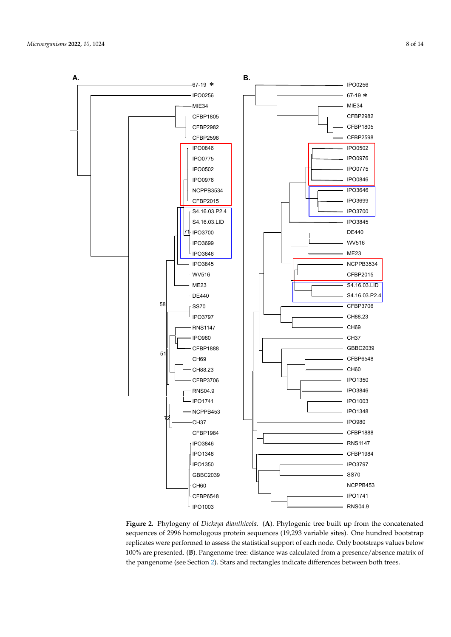

<span id="page-7-0"></span>is closely linked to members of the main clade I (Figure 2A).

**Figure 2.** Phylogeny of *Dickeya dianthicola*. (**A**). Phylogenic tree built up from the concatenated sequences of 2996 homologous protein sequences (19,293 variable sites). One hundred bootstrap replicates were performed to assess the statistical support of each node. Only bootstraps values below 100% are presented. (**B**). Pangenome tree: distance was calculated from a presence/absence matrix of the pangenome (see Section [2\)](#page-1-0). Stars and rectangles indicate differences between both trees.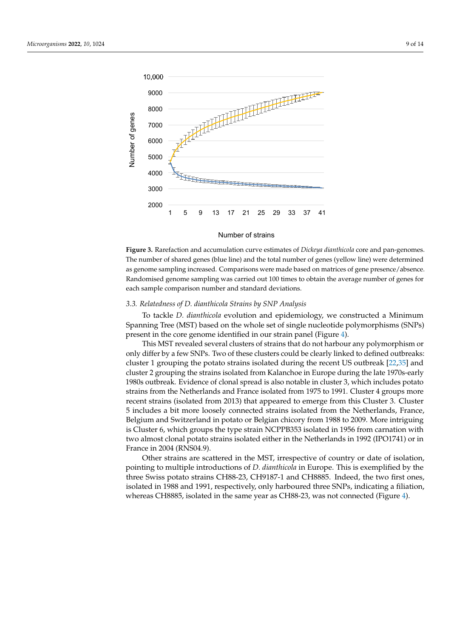<span id="page-8-0"></span>

cating the *D. dianthicola* core genome is almost closed.

**Figure 3.** Rarefaction and accumulation curve estimates of *Dickeya dianthicola* core and pan-ge-The number of shared genes (blue line) and the total number of genes (yellow line) were determined as genome sampling increased. Comparisons were made based on matrices of gene presence/absence. Randomised genome sampling was carried out 100 times to obtain the average number of genes for each sample comparison number and standard deviations. **Figure 3.** Rarefaction and accumulation curve estimates of *Dickeya dianthicola* core and pan-genomes.

# The pan-genome that comprises all protein families present in *D. dianthicola* members *3.3. Relatedness of D. dianthicola Strains by SNP Analysis*

To tackle *D. dianthicola* evolution and epidemiology, we constructed a Minimum Spanning Tree (MST) based on the whole set of single nucleotide polymorphisms (SNPs) present in the core genome identified in our strain panel (Figure [4\)](#page-9-0).

This MST revealed several clusters of strains that do not harbour any polymorphism or only differ by a few SNPs. Two of these clusters could be clearly linked to defined outbreaks: cluster 1 grouping the potato strains isolated during the recent US outbreak [\[22](#page-13-0)[,35\]](#page-13-13) and cluster 2 grouping the strains isolated from Kalanchoe in Europe during the late 1970s-early 1980s outbreak. Evidence of clonal spread is also notable in cluster 3, which includes potato strains from the Netherlands and France isolated from 1975 to 1991. Cluster 4 groups more recent strains (isolated from 2013) that appeared to emerge from this Cluster 3. Cluster 5 includes a bit more loosely connected strains isolated from the Netherlands, France, Belgium and Switzerland in potato or Belgian chicory from 1988 to 2009. More intriguing is Cluster 6, which groups the type strain NCPPB353 isolated in 1956 from carnation with two almost clonal potato strains isolated either in the Netherlands in 1992 (IPO1741) or in France in 2004 (RNS04.9).

Other strains are scattered in the MST, irrespective of country or date of isolation, pointing to multiple introductions of *D. dianthicola* in Europe. This is exemplified by the three Swiss potato strains CH88-23, CH9187-1 and CH8885. Indeed, the two first ones, isolated in 1988 and 1991, respectively, only harboured three SNPs, indicating a filiation, whereas CH8885, isolated in the same year as CH88-23, was not connected (Figure [4\)](#page-9-0).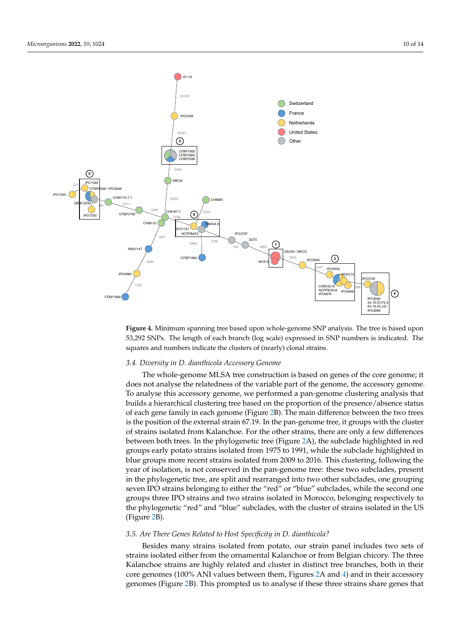

**Figure 4.** Minimum spanning tree based upon whole-genome SNP analysis. The tree is based upon **Figure 4.** Minimum spanning tree based upon whole-genome SNP analysis. The tree is based upon 53,292 SNPs. The length of each branch (log scale) expressed in SNP numbers is indicated. The 53,292 SNPs. The length of each branch (log scale) expressed in SNP numbers is indicated. The squares and numbers indicate the clusters of (nearly) clonal strains. squares and numbers indicate the clusters of (nearly) clonal strains.

<span id="page-9-0"></span> $\mathcal{S}_{\mathcal{S}}$  based on the whole set of single nucleotide polymorphisms (SNPs) (SNPs) (SNPs) (SNPs) (SNPs) (SNPs) (SNPs) (SNPs) (SNPs) (SNPs) (SNPs) (SNPs) (SNPs) (SNPs) (SNPs) (SNPs) (SNPs) (SNPs) (SNPs) (SNPs) (SNPs) (

# 3.4. Diversity in D. dianthicola Accessory Genome

The subale concurs  $\overline{MSA}$  two construction is been an equator of the course on our The whole-genome MLSA tree construction is based on genes of the core genome; it [22,35] and cluster 2 grouping the strains isolated from Kalanchoe in Europe during the does not analyse the relatedness of the variable part of the genome, the accessory genome. To analyse this accessory genome, we performed a pan-genome clustering analysis that builds a hierarchical clustering tree based on the proportion of the presence/absence status of each gene family in each genome (Figure 2B). The main difference between the two trees is the position of the external strain 67.19. In the pan-genome tree, it groups with the cluster of strains isolated from Kalanchoe. For the other strains, there are only a few differences between both trees. In the phylogenetic tree (Figure 2A), the subclade highlighted in red groups early potato strains isolated from 1975 to 1991, while the subclade highlighted in blue groups more recent strains isolated from 2009 to 2016. This clustering, following the year of isolation, is not conserved in the pan-genome tree: these two subclades, present in the phylogenetic tree, are split and rearranged into two other subclades, one grouping seven IPO strains belonging to either the "red" or "blue" subclades, while the second one groups three IPO strains and two strains isolated in Morocco, belonging respectively to the phylogenetic "red" and "blue" subclades, with the cluster of strains isolated in the US (Figure [2B](#page-7-0)).

### *3.5. Are There Genes Related to Host Specificity in D. dianthicola?*

Besides many strains isolated from potato, our strain panel includes two sets of strains isolated either from the ornamental Kalanchoe or from Belgian chicory. The three Kalanchoe strains are highly related and cluster in distinct tree branches, both in their core genomes (100% ANI values between them, Figures [2A](#page-7-0) and [4\)](#page-9-0) and in their accessory genomes (Figure [2B](#page-7-0)). This prompted us to analyse if these three strains share genes that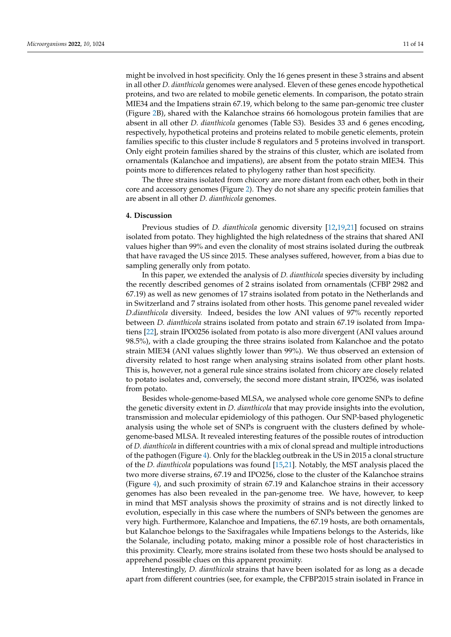might be involved in host specificity. Only the 16 genes present in these 3 strains and absent in all other *D. dianthicola* genomes were analysed. Eleven of these genes encode hypothetical proteins, and two are related to mobile genetic elements. In comparison, the potato strain MIE34 and the Impatiens strain 67.19, which belong to the same pan-genomic tree cluster (Figure [2B](#page-7-0)), shared with the Kalanchoe strains 66 homologous protein families that are absent in all other *D. dianthicola* genomes (Table S3). Besides 33 and 6 genes encoding, respectively, hypothetical proteins and proteins related to mobile genetic elements, protein families specific to this cluster include 8 regulators and 5 proteins involved in transport. Only eight protein families shared by the strains of this cluster, which are isolated from ornamentals (Kalanchoe and impatiens), are absent from the potato strain MIE34. This points more to differences related to phylogeny rather than host specificity.

The three strains isolated from chicory are more distant from each other, both in their core and accessory genomes (Figure [2\)](#page-7-0). They do not share any specific protein families that are absent in all other *D. dianthicola* genomes.

#### **4. Discussion**

Previous studies of *D. dianthicola* genomic diversity [\[12](#page-12-9)[,19](#page-12-17)[,21\]](#page-12-18) focused on strains isolated from potato. They highlighted the high relatedness of the strains that shared ANI values higher than 99% and even the clonality of most strains isolated during the outbreak that have ravaged the US since 2015. These analyses suffered, however, from a bias due to sampling generally only from potato.

In this paper, we extended the analysis of *D. dianthicola* species diversity by including the recently described genomes of 2 strains isolated from ornamentals (CFBP 2982 and 67.19) as well as new genomes of 17 strains isolated from potato in the Netherlands and in Switzerland and 7 strains isolated from other hosts. This genome panel revealed wider *D.dianthicola* diversity. Indeed, besides the low ANI values of 97% recently reported between *D. dianthicola* strains isolated from potato and strain 67.19 isolated from Impatiens [\[22\]](#page-13-0), strain IPO0256 isolated from potato is also more divergent (ANI values around 98.5%), with a clade grouping the three strains isolated from Kalanchoe and the potato strain MIE34 (ANI values slightly lower than 99%). We thus observed an extension of diversity related to host range when analysing strains isolated from other plant hosts. This is, however, not a general rule since strains isolated from chicory are closely related to potato isolates and, conversely, the second more distant strain, IPO256, was isolated from potato.

Besides whole-genome-based MLSA, we analysed whole core genome SNPs to define the genetic diversity extent in *D. dianthicola* that may provide insights into the evolution, transmission and molecular epidemiology of this pathogen. Our SNP-based phylogenetic analysis using the whole set of SNPs is congruent with the clusters defined by wholegenome-based MLSA. It revealed interesting features of the possible routes of introduction of *D. dianthicola* in different countries with a mix of clonal spread and multiple introductions of the pathogen (Figure [4\)](#page-9-0). Only for the blackleg outbreak in the US in 2015 a clonal structure of the *D. dianthicola* populations was found [\[15](#page-12-12)[,21\]](#page-12-18). Notably, the MST analysis placed the two more diverse strains, 67.19 and IPO256, close to the cluster of the Kalanchoe strains (Figure [4\)](#page-9-0), and such proximity of strain 67.19 and Kalanchoe strains in their accessory genomes has also been revealed in the pan-genome tree. We have, however, to keep in mind that MST analysis shows the proximity of strains and is not directly linked to evolution, especially in this case where the numbers of SNPs between the genomes are very high. Furthermore, Kalanchoe and Impatiens, the 67.19 hosts, are both ornamentals, but Kalanchoe belongs to the Saxifragales while Impatiens belongs to the Asterids, like the Solanale, including potato, making minor a possible role of host characteristics in this proximity. Clearly, more strains isolated from these two hosts should be analysed to apprehend possible clues on this apparent proximity.

Interestingly, *D. dianthicola* strains that have been isolated for as long as a decade apart from different countries (see, for example, the CFBP2015 strain isolated in France in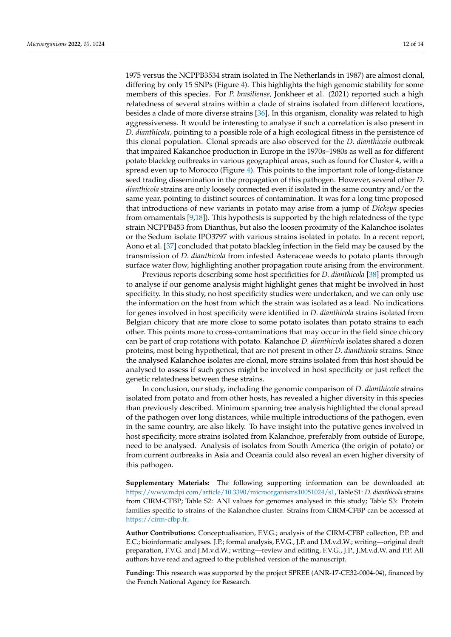1975 versus the NCPPB3534 strain isolated in The Netherlands in 1987) are almost clonal, differing by only 15 SNPs (Figure [4\)](#page-9-0). This highlights the high genomic stability for some members of this species. For *P. brasiliense,* Jonkheer et al. (2021) reported such a high relatedness of several strains within a clade of strains isolated from different locations, besides a clade of more diverse strains [\[36\]](#page-13-14). In this organism, clonality was related to high aggressiveness. It would be interesting to analyse if such a correlation is also present in *D. dianthicola,* pointing to a possible role of a high ecological fitness in the persistence of this clonal population. Clonal spreads are also observed for the *D. dianthicola* outbreak that impaired Kakanchoe production in Europe in the 1970s–1980s as well as for different potato blackleg outbreaks in various geographical areas, such as found for Cluster 4, with a spread even up to Morocco (Figure [4\)](#page-9-0). This points to the important role of long-distance seed trading dissemination in the propagation of this pathogen. However, several other *D. dianthicola* strains are only loosely connected even if isolated in the same country and/or the same year, pointing to distinct sources of contamination. It was for a long time proposed that introductions of new variants in potato may arise from a jump of *Dickeya* species from ornamentals [\[9](#page-12-6)[,18\]](#page-12-15)). This hypothesis is supported by the high relatedness of the type strain NCPPB453 from Dianthus, but also the loosen proximity of the Kalanchoe isolates or the Sedum isolate IPO3797 with various strains isolated in potato. In a recent report, Aono et al. [\[37\]](#page-13-15) concluded that potato blackleg infection in the field may be caused by the transmission of *D. dianthicola* from infested Asteraceae weeds to potato plants through surface water flow, highlighting another propagation route arising from the environment.

Previous reports describing some host specificities for *D. dianthicola* [\[38\]](#page-13-16) prompted us to analyse if our genome analysis might highlight genes that might be involved in host specificity. In this study, no host specificity studies were undertaken, and we can only use the information on the host from which the strain was isolated as a lead. No indications for genes involved in host specificity were identified in *D. dianthicola* strains isolated from Belgian chicory that are more close to some potato isolates than potato strains to each other. This points more to cross-contaminations that may occur in the field since chicory can be part of crop rotations with potato. Kalanchoe *D. dianthicola* isolates shared a dozen proteins, most being hypothetical, that are not present in other *D. dianthicola* strains. Since the analysed Kalanchoe isolates are clonal, more strains isolated from this host should be analysed to assess if such genes might be involved in host specificity or just reflect the genetic relatedness between these strains.

In conclusion, our study, including the genomic comparison of *D. dianthicola* strains isolated from potato and from other hosts, has revealed a higher diversity in this species than previously described. Minimum spanning tree analysis highlighted the clonal spread of the pathogen over long distances, while multiple introductions of the pathogen, even in the same country, are also likely. To have insight into the putative genes involved in host specificity, more strains isolated from Kalanchoe, preferably from outside of Europe, need to be analysed. Analysis of isolates from South America (the origin of potato) or from current outbreaks in Asia and Oceania could also reveal an even higher diversity of this pathogen.

**Supplementary Materials:** The following supporting information can be downloaded at: [https://www.mdpi.com/article/10.3390/microorganisms10051024/s1,](https://www.mdpi.com/article/10.3390/microorganisms10051024/s1) Table S1: *D. dianthicola* strains from CIRM-CFBP; Table S2: ANI values for genomes analysed in this study; Table S3: Protein families specific to strains of the Kalanchoe cluster. Strains from CIRM-CFBP can be accessed at [https://cirm-cfbp.fr.](https://cirm-cfbp.fr)

**Author Contributions:** Conceptualisation, F.V.G.; analysis of the CIRM-CFBP collection, P.P. and E.C.; bioinformatic analyses. J.P.; formal analysis, F.V.G., J.P. and J.M.v.d.W.; writing—original draft preparation, F.V.G. and J.M.v.d.W.; writing—review and editing, F.V.G., J.P., J.M.v.d.W. and P.P. All authors have read and agreed to the published version of the manuscript.

**Funding:** This research was supported by the project SPREE (ANR-17-CE32-0004-04), financed by the French National Agency for Research.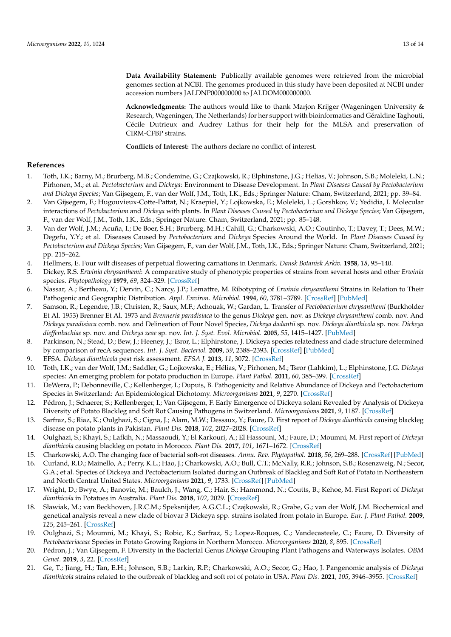**Data Availability Statement:** Publically available genomes were retrieved from the microbial genomes section at NCBI. The genomes produced in this study have been deposited at NCBI under accession numbers JALDNP000000000 to JALDOM000000000.

**Acknowledgments:** The authors would like to thank Marjon Krijger (Wageningen University & Research, Wageningen, The Netherlands) for her support with bioinformatics and Géraldine Taghouti, Cécile Dutrieux and Audrey Lathus for their help for the MLSA and preservation of CIRM-CFBP strains.

**Conflicts of Interest:** The authors declare no conflict of interest.

## **References**

- <span id="page-12-0"></span>1. Toth, I.K.; Barny, M.; Brurberg, M.B.; Condemine, G.; Czajkowski, R.; Elphinstone, J.G.; Helias, V.; Johnson, S.B.; Moleleki, L.N.; Pirhonen, M.; et al. *Pectobacterium* and *Dickeya*: Environment to Disease Development. In *Plant Diseases Caused by Pectobacterium and Dickeya Species*; Van Gijsegem, F., van der Wolf, J.M., Toth, I.K., Eds.; Springer Nature: Cham, Switzerland, 2021; pp. 39–84.
- <span id="page-12-1"></span>2. Van Gijsegem, F.; Hugouvieux-Cotte-Pattat, N.; Kraepiel, Y.; Lojkowska, E.; Moleleki, L.; Gorshkov, V.; Yedidia, I. Molecular interactions of *Pectobacterium* and *Dickeya* with plants. In *Plant Diseases Caused by Pectobacterium and Dickeya Species*; Van Gijsegem, F., van der Wolf, J.M., Toth, I.K., Eds.; Springer Nature: Cham, Switzerland, 2021; pp. 85–148.
- <span id="page-12-2"></span>3. Van der Wolf, J.M.; Acuña, I.; De Boer, S.H.; Brurberg, M.H.; Cahill, G.; Charkowski, A.O.; Coutinho, T.; Davey, T.; Dees, M.W.; Degefu, Y.Y.; et al. Diseases Caused by *Pectobacterium* and *Dickeya* Species Around the World. In *Plant Diseases Caused by Pectobacterium and Dickeya Species*; Van Gijsegem, F., van der Wolf, J.M., Toth, I.K., Eds.; Springer Nature: Cham, Switzerland, 2021; pp. 215–262.
- <span id="page-12-3"></span>4. Hellmers, E. Four wilt diseases of perpetual flowering carnations in Denmark. *Dansk Botanisk Arkiv.* **1958**, *18*, 95–140.
- <span id="page-12-4"></span>5. Dickey, R.S. *Erwinia chrysanthemi*: A comparative study of phenotypic properties of strains from several hosts and other *Erwinia* species. *Phytopathology* **1979**, *69*, 324–329. [\[CrossRef\]](http://doi.org/10.1094/Phyto-69-324)
- 6. Nassar, A.; Bertheau, Y.; Dervin, C.; Narcy, J.P.; Lemattre, M. Ribotyping of *Erwinia chrysanthemi* Strains in Relation to Their Pathogenic and Geographic Distribution. *Appl. Environ. Microbiol.* **1994**, *60*, 3781–3789. [\[CrossRef\]](http://doi.org/10.1128/aem.60.10.3781-3789.1994) [\[PubMed\]](http://www.ncbi.nlm.nih.gov/pubmed/16349416)
- 7. Samson, R.; Legendre, J.B.; Christen, R.; Saux, M.F.; Achouak, W.; Gardan, L. Transfer of *Pectobacterium chrysanthemi* (Burkholder Et Al. 1953) Brenner Et Al. 1973 and *Brenneria paradisiaca* to the genus *Dickeya* gen. nov. as *Dickeya chrysanthemi* comb. nov. And *Dickeya paradisiaca* comb. nov. and Delineation of Four Novel Species, *Dickeya dadantii* sp. nov. *Dickeya dianthicola* sp. nov. *Dickeya dieffenbachiae* sp. nov. and *Dickeya zeae* sp. nov. *Int. J. Syst. Evol. Microbiol.* **2005**, *55*, 1415–1427. [\[PubMed\]](http://www.ncbi.nlm.nih.gov/pubmed/16014461)
- <span id="page-12-5"></span>8. Parkinson, N.; Stead, D.; Bew, J.; Heeney, J.; Tsror, L.; Elphinstone, J. Dickeya species relatedness and clade structure determined by comparison of recA sequences. *Int. J. Syst. Bacteriol.* **2009**, *59*, 2388–2393. [\[CrossRef\]](http://doi.org/10.1099/ijs.0.009258-0) [\[PubMed\]](http://www.ncbi.nlm.nih.gov/pubmed/19620370)
- <span id="page-12-6"></span>9. EFSA. *Dickeya dianthicola* pest risk assessment. *EFSA J.* **2013**, *11*, 3072. [\[CrossRef\]](http://doi.org/10.2903/j.efsa.2013.3072)
- <span id="page-12-7"></span>10. Toth, I.K.; van der Wolf, J.M.; Saddler, G.; Lojkowska, E.; Hélias, V.; Pirhonen, M.; Tsror (Lahkim), L.; Elphinstone, J.G. *Dickeya* species: An emerging problem for potato production in Europe. *Plant Pathol.* **2011**, *60*, 385–399. [\[CrossRef\]](http://doi.org/10.1111/j.1365-3059.2011.02427.x)
- <span id="page-12-8"></span>11. DeWerra, P.; Debonneville, C.; Kellenberger, I.; Dupuis, B. Pathogenicity and Relative Abundance of Dickeya and Pectobacterium Species in Switzerland: An Epidemiological Dichotomy. *Microorganisms* **2021**, *9*, 2270. [\[CrossRef\]](http://doi.org/10.3390/microorganisms9112270)
- <span id="page-12-9"></span>12. Pédron, J.; Schaerer, S.; Kellenberger, I.; Van Gijsegem, F. Early Emergence of Dickeya solani Revealed by Analysis of Dickeya Diversity of Potato Blackleg and Soft Rot Causing Pathogens in Switzerland. *Microorganisms* **2021**, *9*, 1187. [\[CrossRef\]](http://doi.org/10.3390/microorganisms9061187)
- <span id="page-12-10"></span>13. Sarfraz, S.; Riaz, K.; Oulghazi, S.; Cigna, J.; Alam, M.W.; Dessaux, Y.; Faure, D. First report of *Dickeya dianthicola* causing blackleg disease on potato plants in Pakistan. *Plant Dis.* **2018**, *102*, 2027–2028. [\[CrossRef\]](http://doi.org/10.1094/PDIS-04-18-0551-PDN)
- <span id="page-12-11"></span>14. Oulghazi, S.; Khayi, S.; Lafkih, N.; Massaoudi, Y.; El Karkouri, A.; El Hassouni, M.; Faure, D.; Moumni, M. First report of *Dickeya dianthicola* causing blackleg on potato in Morocco. *Plant Dis.* **2017**, *101*, 1671–1672. [\[CrossRef\]](http://doi.org/10.1094/PDIS-04-17-0548-PDN)
- <span id="page-12-12"></span>15. Charkowski, A.O. The changing face of bacterial soft-rot diseases. *Annu. Rev. Phytopathol.* **2018**, *56*, 269–288. [\[CrossRef\]](http://doi.org/10.1146/annurev-phyto-080417-045906) [\[PubMed\]](http://www.ncbi.nlm.nih.gov/pubmed/29958075)
- <span id="page-12-13"></span>16. Curland, R.D.; Mainello, A.; Perry, K.L.; Hao, J.; Charkowski, A.O.; Bull, C.T.; McNally, R.R.; Johnson, S.B.; Rosenzweig, N.; Secor, G.A.; et al. Species of Dickeya and Pectobacterium Isolated during an Outbreak of Blackleg and Soft Rot of Potato in Northeastern and North Central United States. *Microorganisms* **2021**, *9*, 1733. [\[CrossRef\]](http://doi.org/10.3390/microorganisms9081733) [\[PubMed\]](http://www.ncbi.nlm.nih.gov/pubmed/34442812)
- <span id="page-12-14"></span>17. Wright, D.; Bwye, A.; Banovic, M.; Baulch, J.; Wang, C.; Hair, S.; Hammond, N.; Coutts, B.; Kehoe, M. First Report of *Dickeya dianthicola* in Potatoes in Australia. *Plant Dis.* **2018**, *102*, 2029. [\[CrossRef\]](http://doi.org/10.1094/PDIS-01-18-0094-PDN)
- <span id="page-12-15"></span>18. Sławiak, M.; van Beckhoven, J.R.C.M.; Speksnijder, A.G.C.L.; Czajkowski, R.; Grabe, G.; van der Wolf, J.M. Biochemical and genetical analysis reveal a new clade of biovar 3 Dickeya spp. strains isolated from potato in Europe. *Eur. J. Plant Pathol.* **2009**, *125*, 245–261. [\[CrossRef\]](http://doi.org/10.1007/s10658-009-9479-2)
- <span id="page-12-17"></span>19. Oulghazi, S.; Moumni, M.; Khayi, S.; Robic, K.; Sarfraz, S.; Lopez-Roques, C.; Vandecasteele, C.; Faure, D. Diversity of *Pectobacteriaceae* Species in Potato Growing Regions in Northern Morocco. *Microorganisms* **2020**, *8*, 895. [\[CrossRef\]](http://doi.org/10.3390/microorganisms8060895)
- <span id="page-12-16"></span>20. Pédron, J.; Van Gijsegem, F. Diversity in the Bacterial Genus *Dickeya* Grouping Plant Pathogens and Waterways Isolates. *OBM Genet.* **2019**, *3*, 22. [\[CrossRef\]](http://doi.org/10.21926/obm.genet.1904098)
- <span id="page-12-18"></span>21. Ge, T.; Jiang, H.; Tan, E.H.; Johnson, S.B.; Larkin, R.P.; Charkowski, A.O.; Secor, G.; Hao, J. Pangenomic analysis of *Dickeya dianthicola* strains related to the outbreak of blackleg and soft rot of potato in USA. *Plant Dis.* **2021**, *105*, 3946–3955. [\[CrossRef\]](http://doi.org/10.1094/PDIS-03-21-0587-RE)